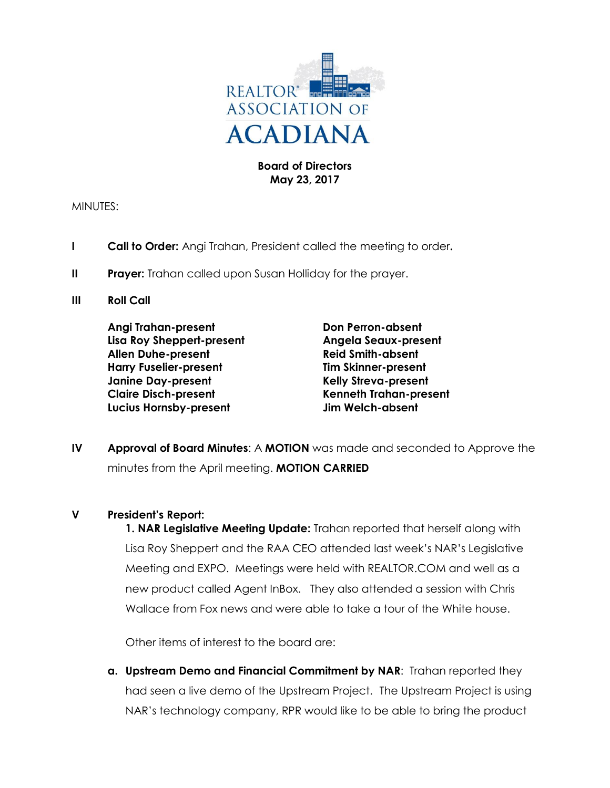

## **Board of Directors May 23, 2017**

MINUTES:

- **I Call to Order:** Angi Trahan, President called the meeting to order**.**
- **II** Prayer: Trahan called upon Susan Holliday for the prayer.
- **III Roll Call**

**Angi Trahan-present Don Perron-absent Lisa Roy Sheppert-present Angela Seaux-present Allen Duhe-present Reid Smith-absent Harry Fuselier-present Tim Skinner-present Janine Day-present Kelly Streva-present Claire Disch-present Kenneth Trahan-present Lucius Hornsby-present Jim Welch-absent**

**IV Approval of Board Minutes**: A **MOTION** was made and seconded to Approve the minutes from the April meeting. **MOTION CARRIED**

## **V President's Report:**

**1. NAR Legislative Meeting Update:** Trahan reported that herself along with Lisa Roy Sheppert and the RAA CEO attended last week's NAR's Legislative Meeting and EXPO. Meetings were held with REALTOR.COM and well as a new product called Agent InBox. They also attended a session with Chris Wallace from Fox news and were able to take a tour of the White house.

Other items of interest to the board are:

**a. Upstream Demo and Financial Commitment by NAR**: Trahan reported they had seen a live demo of the Upstream Project. The Upstream Project is using NAR's technology company, RPR would like to be able to bring the product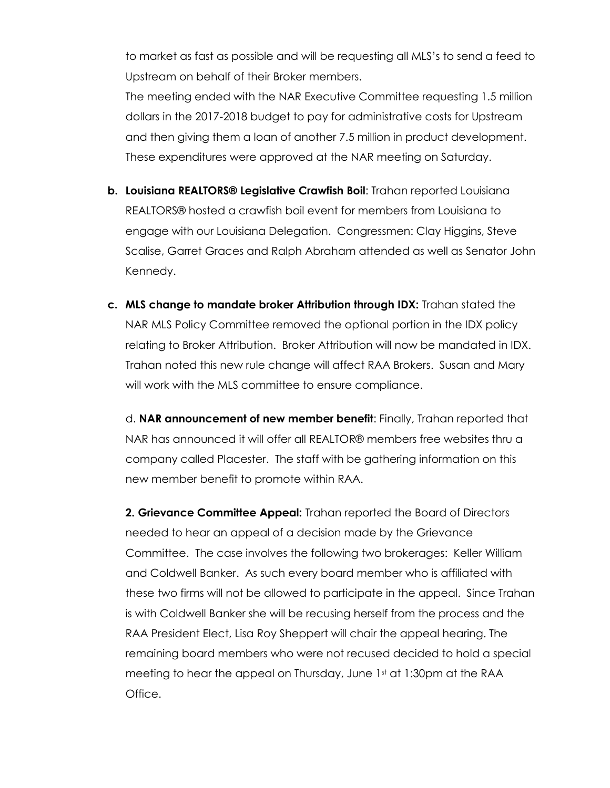to market as fast as possible and will be requesting all MLS's to send a feed to Upstream on behalf of their Broker members.

The meeting ended with the NAR Executive Committee requesting 1.5 million dollars in the 2017-2018 budget to pay for administrative costs for Upstream and then giving them a loan of another 7.5 million in product development. These expenditures were approved at the NAR meeting on Saturday.

- **b. Louisiana REALTORS® Legislative Crawfish Boil**: Trahan reported Louisiana REALTORS® hosted a crawfish boil event for members from Louisiana to engage with our Louisiana Delegation. Congressmen: Clay Higgins, Steve Scalise, Garret Graces and Ralph Abraham attended as well as Senator John Kennedy.
- **c. MLS change to mandate broker Attribution through IDX:** Trahan stated the NAR MLS Policy Committee removed the optional portion in the IDX policy relating to Broker Attribution. Broker Attribution will now be mandated in IDX. Trahan noted this new rule change will affect RAA Brokers. Susan and Mary will work with the MLS committee to ensure compliance.

d. **NAR announcement of new member benefit**: Finally, Trahan reported that NAR has announced it will offer all REALTOR® members free websites thru a company called Placester. The staff with be gathering information on this new member benefit to promote within RAA.

**2. Grievance Committee Appeal:** Trahan reported the Board of Directors needed to hear an appeal of a decision made by the Grievance Committee.The case involves the following two brokerages: Keller William and Coldwell Banker. As such every board member who is affiliated with these two firms will not be allowed to participate in the appeal. Since Trahan is with Coldwell Banker she will be recusing herself from the process and the RAA President Elect, Lisa Roy Sheppert will chair the appeal hearing. The remaining board members who were not recused decided to hold a special meeting to hear the appeal on Thursday, June  $1<sup>st</sup>$  at 1:30pm at the RAA Office.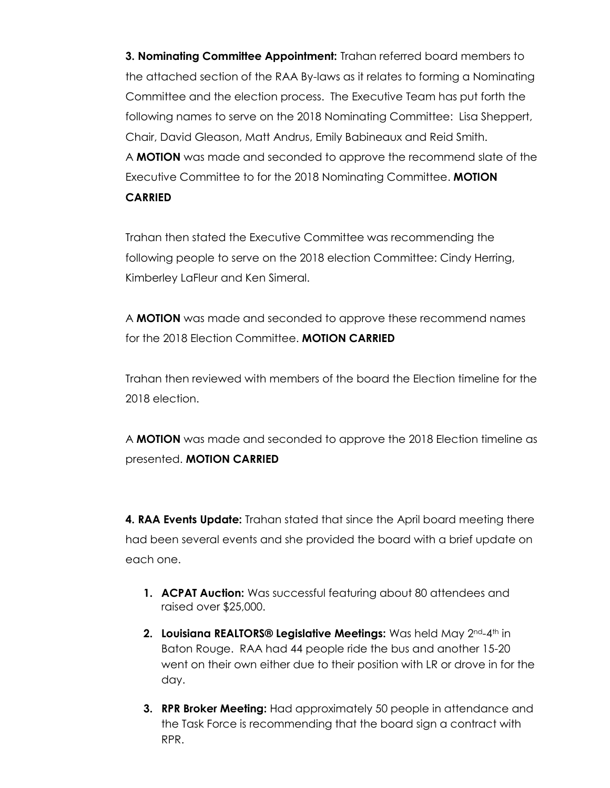**3. Nominating Committee Appointment:** Trahan referred board members to the attached section of the RAA By-laws as it relates to forming a Nominating Committee and the election process. The Executive Team has put forth the following names to serve on the 2018 Nominating Committee: Lisa Sheppert, Chair, David Gleason, Matt Andrus, Emily Babineaux and Reid Smith. A **MOTION** was made and seconded to approve the recommend slate of the Executive Committee to for the 2018 Nominating Committee. **MOTION CARRIED**

Trahan then stated the Executive Committee was recommending the following people to serve on the 2018 election Committee: Cindy Herring, Kimberley LaFleur and Ken Simeral.

A **MOTION** was made and seconded to approve these recommend names for the 2018 Election Committee. **MOTION CARRIED**

Trahan then reviewed with members of the board the Election timeline for the 2018 election.

A **MOTION** was made and seconded to approve the 2018 Election timeline as presented. **MOTION CARRIED**

**4. RAA Events Update:** Trahan stated that since the April board meeting there had been several events and she provided the board with a brief update on each one.

- **1. ACPAT Auction:** Was successful featuring about 80 attendees and raised over \$25,000.
- **2. Louisiana REALTORS® Legislative Meetings:** Was held May 2nd-4th in Baton Rouge. RAA had 44 people ride the bus and another 15-20 went on their own either due to their position with LR or drove in for the day.
- **3. RPR Broker Meeting:** Had approximately 50 people in attendance and the Task Force is recommending that the board sign a contract with RPR.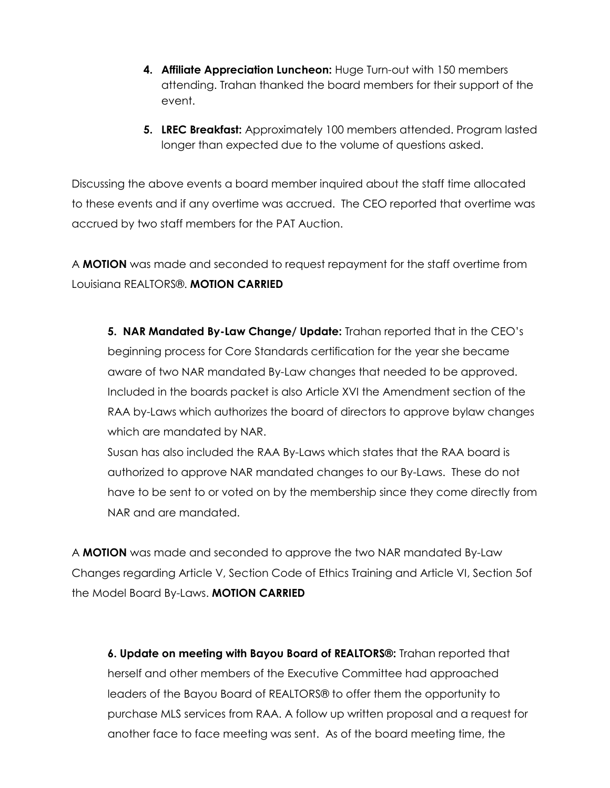- **4. Affiliate Appreciation Luncheon:** Huge Turn-out with 150 members attending. Trahan thanked the board members for their support of the event.
- **5. LREC Breakfast:** Approximately 100 members attended. Program lasted longer than expected due to the volume of questions asked.

Discussing the above events a board member inquired about the staff time allocated to these events and if any overtime was accrued. The CEO reported that overtime was accrued by two staff members for the PAT Auction.

A **MOTION** was made and seconded to request repayment for the staff overtime from Louisiana REALTORS®. **MOTION CARRIED**

**5. NAR Mandated By-Law Change/ Update:** Trahan reported that in the CEO's beginning process for Core Standards certification for the year she became aware of two NAR mandated By-Law changes that needed to be approved. Included in the boards packet is also Article XVI the Amendment section of the RAA by-Laws which authorizes the board of directors to approve bylaw changes which are mandated by NAR.

Susan has also included the RAA By-Laws which states that the RAA board is authorized to approve NAR mandated changes to our By-Laws. These do not have to be sent to or voted on by the membership since they come directly from NAR and are mandated.

A **MOTION** was made and seconded to approve the two NAR mandated By-Law Changes regarding Article V, Section Code of Ethics Training and Article VI, Section 5of the Model Board By-Laws. **MOTION CARRIED**

**6. Update on meeting with Bayou Board of REALTORS®:** Trahan reported that herself and other members of the Executive Committee had approached leaders of the Bayou Board of REALTORS® to offer them the opportunity to purchase MLS services from RAA. A follow up written proposal and a request for another face to face meeting was sent. As of the board meeting time, the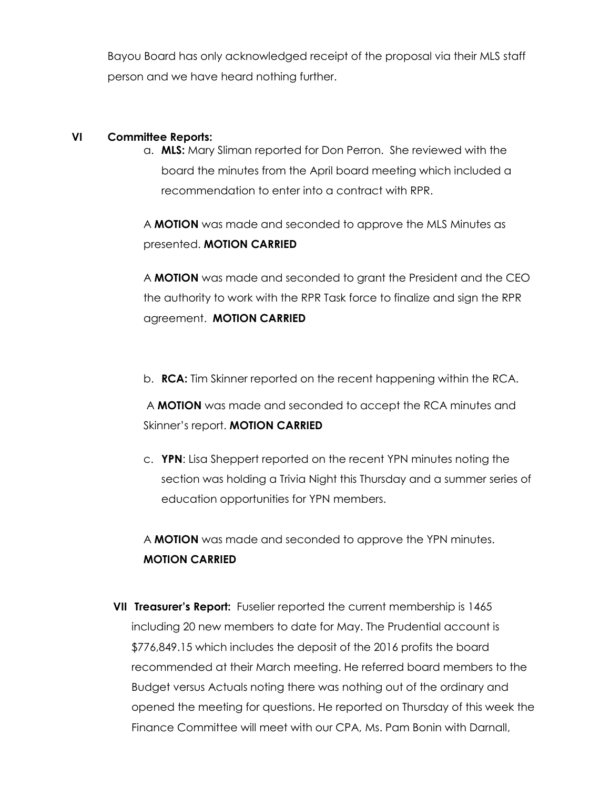Bayou Board has only acknowledged receipt of the proposal via their MLS staff person and we have heard nothing further.

## **VI Committee Reports:**

a. **MLS:** Mary Sliman reported for Don Perron. She reviewed with the board the minutes from the April board meeting which included a recommendation to enter into a contract with RPR.

A **MOTION** was made and seconded to approve the MLS Minutes as presented. **MOTION CARRIED**

A **MOTION** was made and seconded to grant the President and the CEO the authority to work with the RPR Task force to finalize and sign the RPR agreement. **MOTION CARRIED**

b. **RCA:** Tim Skinner reported on the recent happening within the RCA.

A **MOTION** was made and seconded to accept the RCA minutes and Skinner's report. **MOTION CARRIED**

c. **YPN**: Lisa Sheppert reported on the recent YPN minutes noting the section was holding a Trivia Night this Thursday and a summer series of education opportunities for YPN members.

A **MOTION** was made and seconded to approve the YPN minutes. **MOTION CARRIED**

**VII Treasurer's Report:** Fuselier reported the current membership is 1465 including 20 new members to date for May. The Prudential account is \$776,849.15 which includes the deposit of the 2016 profits the board recommended at their March meeting. He referred board members to the Budget versus Actuals noting there was nothing out of the ordinary and opened the meeting for questions. He reported on Thursday of this week the Finance Committee will meet with our CPA, Ms. Pam Bonin with Darnall,